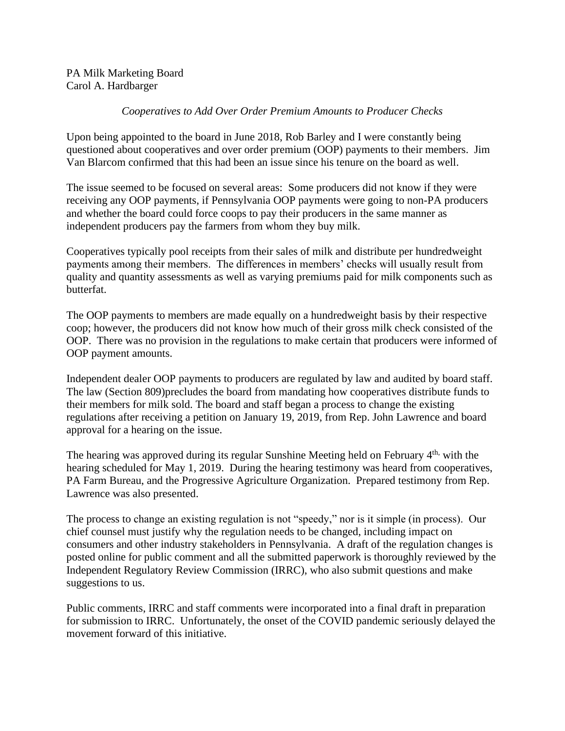PA Milk Marketing Board Carol A. Hardbarger

## *Cooperatives to Add Over Order Premium Amounts to Producer Checks*

Upon being appointed to the board in June 2018, Rob Barley and I were constantly being questioned about cooperatives and over order premium (OOP) payments to their members. Jim Van Blarcom confirmed that this had been an issue since his tenure on the board as well.

The issue seemed to be focused on several areas: Some producers did not know if they were receiving any OOP payments, if Pennsylvania OOP payments were going to non-PA producers and whether the board could force coops to pay their producers in the same manner as independent producers pay the farmers from whom they buy milk.

Cooperatives typically pool receipts from their sales of milk and distribute per hundredweight payments among their members. The differences in members' checks will usually result from quality and quantity assessments as well as varying premiums paid for milk components such as butterfat.

The OOP payments to members are made equally on a hundredweight basis by their respective coop; however, the producers did not know how much of their gross milk check consisted of the OOP. There was no provision in the regulations to make certain that producers were informed of OOP payment amounts.

Independent dealer OOP payments to producers are regulated by law and audited by board staff. The law (Section 809)precludes the board from mandating how cooperatives distribute funds to their members for milk sold. The board and staff began a process to change the existing regulations after receiving a petition on January 19, 2019, from Rep. John Lawrence and board approval for a hearing on the issue.

The hearing was approved during its regular Sunshine Meeting held on February 4<sup>th,</sup> with the hearing scheduled for May 1, 2019. During the hearing testimony was heard from cooperatives, PA Farm Bureau, and the Progressive Agriculture Organization. Prepared testimony from Rep. Lawrence was also presented.

The process to change an existing regulation is not "speedy," nor is it simple (in process). Our chief counsel must justify why the regulation needs to be changed, including impact on consumers and other industry stakeholders in Pennsylvania. A draft of the regulation changes is posted online for public comment and all the submitted paperwork is thoroughly reviewed by the Independent Regulatory Review Commission (IRRC), who also submit questions and make suggestions to us.

Public comments, IRRC and staff comments were incorporated into a final draft in preparation for submission to IRRC. Unfortunately, the onset of the COVID pandemic seriously delayed the movement forward of this initiative.